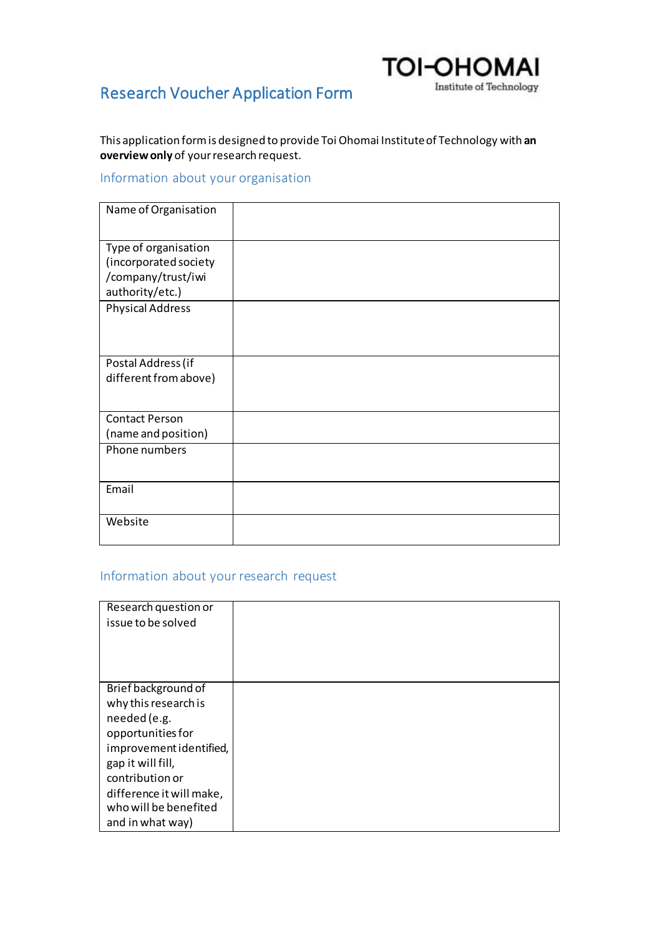## **TOI-OHOMAI** Institute of Technology

# Research Voucher Application Form

This application form is designed to provide Toi Ohomai Institute of Technology with **an overview only** of your research request.

### Information about your organisation

| Name of Organisation    |  |
|-------------------------|--|
|                         |  |
| Type of organisation    |  |
| (incorporated society   |  |
| /company/trust/iwi      |  |
| authority/etc.)         |  |
| <b>Physical Address</b> |  |
|                         |  |
|                         |  |
|                         |  |
| Postal Address (if      |  |
| different from above)   |  |
|                         |  |
| <b>Contact Person</b>   |  |
| (name and position)     |  |
| Phone numbers           |  |
|                         |  |
|                         |  |
| Email                   |  |
|                         |  |
| Website                 |  |
|                         |  |

#### Information about your research request

| Research question or<br>issue to be solved |  |
|--------------------------------------------|--|
|                                            |  |
| Brief background of                        |  |
| why this research is                       |  |
| needed (e.g.                               |  |
| opportunities for                          |  |
| improvement identified,                    |  |
| gap it will fill,                          |  |
| contribution or                            |  |
| difference it will make,                   |  |
| who will be benefited                      |  |
| and in what way)                           |  |